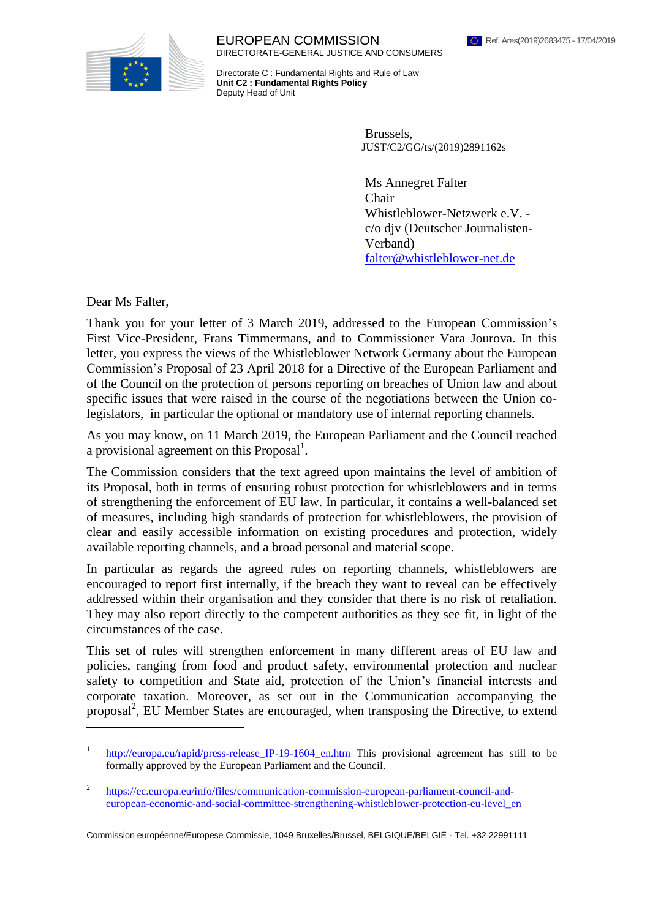

EUROPEAN COMMISSION DIRECTORATE-GENERAL JUSTICE AND CONSUMERS

Directorate C : Fundamental Rights and Rule of Law **Unit C2 : Fundamental Rights Policy** Deputy Head of Unit

> Brussels, JUST/C2/GG/ts[/\(2019\)2](https://myremote.ec.europa.eu/Ares/document/,DanaInfo=.awfdjeykGmlJ4q57pPvA,SSL+show.do?documentId=080166e5c2e37b6a×tamp=1554052909498)891162s

Ms Annegret Falter Chair Whistleblower-Netzwerk e.V. c/o djv (Deutscher Journalisten-Verband) [falter@whistleblower-net.de](mailto:falter@whistleblower-net.de)

Dear Ms Falter,

 $\overline{a}$ 

Thank you for your letter of 3 March 2019, addressed to the European Commission's First Vice-President, Frans Timmermans, and to Commissioner Vara Jourova. In this letter, you express the views of the Whistleblower Network Germany about the European Commission's Proposal of 23 April 2018 for a Directive of the European Parliament and of the Council on the protection of persons reporting on breaches of Union law and about specific issues that were raised in the course of the negotiations between the Union colegislators, in particular the optional or mandatory use of internal reporting channels.

As you may know, on 11 March 2019, the European Parliament and the Council reached a provisional agreement on this Proposal<sup>1</sup>.

The Commission considers that the text agreed upon maintains the level of ambition of its Proposal, both in terms of ensuring robust protection for whistleblowers and in terms of strengthening the enforcement of EU law. In particular, it contains a well-balanced set of measures, including high standards of protection for whistleblowers, the provision of clear and easily accessible information on existing procedures and protection, widely available reporting channels, and a broad personal and material scope.

In particular as regards the agreed rules on reporting channels, whistleblowers are encouraged to report first internally, if the breach they want to reveal can be effectively addressed within their organisation and they consider that there is no risk of retaliation. They may also report directly to the competent authorities as they see fit, in light of the circumstances of the case.

This set of rules will strengthen enforcement in many different areas of EU law and policies, ranging from food and product safety, environmental protection and nuclear safety to competition and State aid, protection of the Union's financial interests and corporate taxation. Moreover, as set out in the Communication accompanying the proposal<sup>2</sup>, EU Member States are encouraged, when transposing the Directive, to extend

<sup>1</sup> [http://europa.eu/rapid/press-release\\_IP-19-1604\\_en.htm](http://europa.eu/rapid/press-release_IP-19-1604_en.htm) This provisional agreement has still to be formally approved by the European Parliament and the Council.

 $\overline{2}$ [https://ec.europa.eu/info/files/communication-commission-european-parliament-council-and](https://ec.europa.eu/info/files/communication-commission-european-parliament-council-and-european-economic-and-social-committee-strengthening-whistleblower-protection-eu-level_en)[european-economic-and-social-committee-strengthening-whistleblower-protection-eu-level\\_en](https://ec.europa.eu/info/files/communication-commission-european-parliament-council-and-european-economic-and-social-committee-strengthening-whistleblower-protection-eu-level_en)